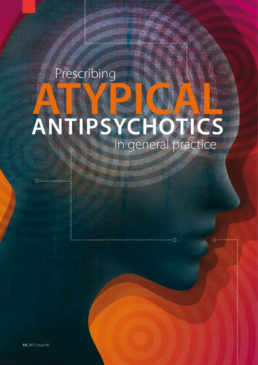# in general practice Prescribing **ANTIPSYCHOTICS ATYPICAL**

 $\circ$ 

 $\circ \cdots$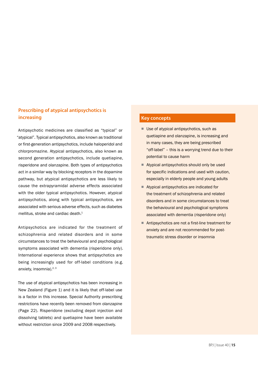## **Prescribing of atypical antipsychotics is increasing**

Antipsychotic medicines are classified as "typical" or "atypical". Typical antipsychotics, also known as traditional or first-generation antipsychotics, include haloperidol and chlorpromazine. Atypical antipsychotics, also known as second generation antipsychotics, include quetiapine, risperidone and olanzapine. Both types of antipsychotics act in a similar way by blocking receptors in the dopamine pathway, but atypical antipsychotics are less likely to cause the extrapyramidal adverse effects associated with the older typical antipsychotics. However, atypical antipsychotics, along with typical antipsychotics, are associated with serious adverse effects, such as diabetes mellitus, stroke and cardiac death.<sup>1</sup>

Antipsychotics are indicated for the treatment of schizophrenia and related disorders and in some circumstances to treat the behavioural and psychological symptoms associated with dementia (risperidone only). International experience shows that antipsychotics are being increasingly used for off-label conditions (e.g. anxiety, insomnia). $2, 3$ 

The use of atypical antipsychotics has been increasing in New Zealand (Figure 1) and it is likely that off-label use is a factor in this increase. Special Authority prescribing restrictions have recently been removed from olanzapine (Page 22). Risperidone (excluding depot injection and dissolving tablets) and quetiapine have been available without restriction since 2009 and 2008 respectively.

## **Key concepts**

- Use of atypical antipsychotics, such as quetiapine and olanzapine, is increasing and in many cases, they are being prescribed "off-label" – this is a worrying trend due to their potential to cause harm
- Atypical antipsychotics should only be used for specific indications and used with caution, especially in elderly people and young adults
- Atypical antipsychotics are indicated for the treatment of schizophrenia and related disorders and in some circumstances to treat the behavioural and psychological symptoms associated with dementia (risperidone only)
- Antipsychotics are not a first-line treatment for anxiety and are not recommended for posttraumatic stress disorder or insomnia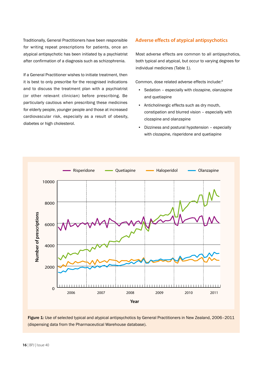Traditionally, General Practitioners have been responsible for writing repeat prescriptions for patients, once an atypical antipsychotic has been initiated by a psychiatrist after confirmation of a diagnosis such as schizophrenia.

If a General Practitioner wishes to initiate treatment, then it is best to only prescribe for the recognised indications and to discuss the treatment plan with a psychiatrist (or other relevant clinician) before prescribing. Be particularly cautious when prescribing these medicines for elderly people, younger people and those at increased cardiovascular risk, especially as a result of obesity, diabetes or high cholesterol.

## **Adverse effects of atypical antipsychotics**

Most adverse effects are common to all antipsychotics, both typical and atypical, but occur to varying degrees for individual medicines (Table 1).

Common, dose related adverse effects include:4

- Sedation especially with clozapine, olanzapine and quetiapine
- Anticholinergic effects such as dry mouth, constipation and blurred vision – especially with clozapine and olanzapine
- Dizziness and postural hypotension especially with clozapine, risperidone and quetiapine



Figure 1: Use of selected typical and atypical antipsychotics by General Practitioners in New Zealand, 2006-2011 (dispensing data from the Pharmaceutical Warehouse database).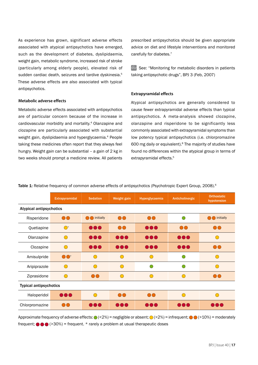As experience has grown, significant adverse effects associated with atypical antipsychotics have emerged, such as the development of diabetes, dyslipidaemia, weight gain, metabolic syndrome, increased risk of stroke (particularly among elderly people), elevated risk of sudden cardiac death, seizures and tardive dyskinesia.<sup>5</sup> These adverse effects are also associated with typical antipsychotics.

#### **Metabolic adverse effects**

Metabolic adverse effects associated with antipsychotics are of particular concern because of the increase in cardiovascular morbidity and mortality.4 Olanzapine and clozapine are particularly associated with substantial weight gain, dyslipidaemia and hyperglycaemia.4 People taking these medicines often report that they always feel hungry. Weight gain can be substantial – a gain of 2 kg in two weeks should prompt a medicine review. All patients prescribed antipsychotics should be given appropriate advice on diet and lifestyle interventions and monitored carefully for diabetes.<sup>7</sup>

 $\mathbb{G}$  See: "Monitoring for metabolic disorders in patients taking antipsychotic drugs", BPJ 3 (Feb, 2007)

## **Extrapyramidal effects**

Atypical antipsychotics are generally considered to cause fewer extrapyramidal adverse effects than typical antipsychotics. A meta-analysis showed clozapine, olanzapine and risperidone to be significantly less commonly associated with extrapyramidal symptoms than low potency typical antipsychotics (i.e. chlorpromazine 600 mg daily or equivalent).8 The majority of studies have found no differences within the atypical group in terms of extrapyramidal effects.<sup>5</sup>

|                                | <b>Extrapyramidal</b>   | <b>Sedation</b>         | Weight gain             | Hyperglycaemia                                | Anticholinergic | <b>Orthostatic</b><br>hypotension |  |
|--------------------------------|-------------------------|-------------------------|-------------------------|-----------------------------------------------|-----------------|-----------------------------------|--|
| <b>Atypical antipsychotics</b> |                         |                         |                         |                                               |                 |                                   |  |
| Risperidone                    | $\overline{\mathbf{O}}$ | <b>O</b> initially      | $\overline{\mathbf{O}}$ | $\overline{\mathbf{O}}$                       | ∩               | <b>O</b> initially                |  |
| Quetiapine                     | $\bigodot^*$            | 000                     | $\odot\odot$            | 000                                           | OO              | $\bigcirc$                        |  |
| Olanzapine                     | $\bigcirc$              | $\bullet\bullet\bullet$ | 000                     | $\bullet\bullet\bullet$                       | 000             | $\bigcap$                         |  |
| Clozapine                      | $\bigcirc$              | 000                     | 000                     | 000                                           | 000             | $\odot$                           |  |
| Amisulpride                    | $\bigcirc$ $\bigcirc$ * | ◠                       | $\bigcirc$              | $\left( \begin{array}{c} \end{array} \right)$ |                 | $\bigcap$                         |  |
| Aripiprazole                   | $\bigcirc$              | $\bigcap$               | $\bigcirc$              | 0                                             |                 | $\bigcap$                         |  |
| Ziprasidone                    | $\bigcirc$              | $\overline{\mathbf{O}}$ | $\bigcap$               | $\overline{C}$                                | 60              | $\bigcirc$                        |  |
| <b>Typical antipsychotics</b>  |                         |                         |                         |                                               |                 |                                   |  |
| Haloperidol                    | $\bullet\bullet\bullet$ | $\bigcap$               | $\bigcirc$              | $\bigcirc$                                    | $\sqrt{2}$      | $\subset$                         |  |
| Chlorpromazine                 | $\odot$                 | $\bullet\bullet\bullet$ | 000                     | 00Q                                           | 000             | DOC                               |  |
|                                |                         |                         |                         |                                               |                 |                                   |  |

Table 1: Relative frequency of common adverse effects of antipsychotics (Psychotropic Expert Group, 2008).<sup>6</sup>

Approximate frequency of adverse effects:  $\bigcirc$  (<2%) = negligible or absent;  $\bigcirc$  (>2%) = infrequent;  $\bigcirc$  (>10%) = moderately frequent;  $\bigcirc \bigcirc \bigcirc$  (>30%) = frequent. \* rarely a problem at usual therapeutic doses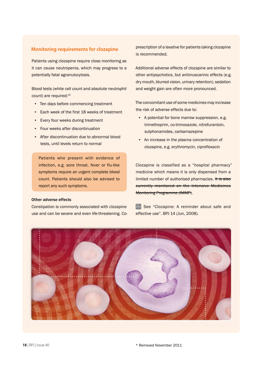## **Monitoring requirements for clozapine**

Patients using clozapine require close monitoring as it can cause neutropenia, which may progress to a potentially fatal agranulocytosis.

Blood tests (white cell count and absolute neutrophil count) are required:<sup>12</sup>

- **Ten days before commencing treatment**
- Each week of the first 18 weeks of treatment
- **Every four weeks during treatment**
- **•** Four weeks after discontinuation
- After discontinuation due to abnormal blood tests, until levels return to normal

Patients who present with evidence of infection, e.g. sore throat, fever or flu-like symptoms require an urgent complete blood count. Patients should also be advised to report any such symptoms.

### Other adverse effects

Constipation is commonly associated with clozapine use and can be severe and even life-threatening. Coprescription of a laxative for patients taking clozapine is recommended.

Additional adverse effects of clozapine are similar to other antipsychotics, but antimuscarinic effects (e.g. dry mouth, blurred vision, urinary retention), sedation and weight gain are often more pronounced.

The concomitant use of some medicines may increase the risk of adverse effects due to:

- A potential for bone marrow suppression, e.g. trimethoprim, co-trimoxazole, nitrofurantoin, sulphonamides, carbamazepine
- **An increase in the plasma concentration of** clozapine, e.g. erythromycin, ciprofloxacin

Clozapine is classified as a "hospital pharmacy" medicine which means it is only dispensed from a limited number of authorised pharmacies. It is also currently monitored on the Intensive Medicines Monitoring Programme (IMMP).

Gee "Clozapine: A reminder about safe and effective use". BPJ 14 (Jun, 2008).

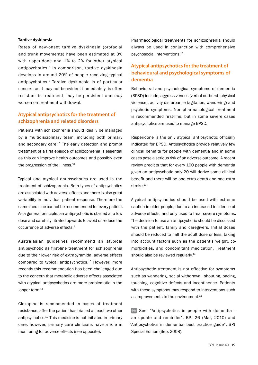### **Tardive dyskinesia**

Rates of new-onset tardive dyskinesia (orofacial and trunk movements) have been estimated at 3% with risperidone and 1% to 2% for other atypical antipsychotics.5 In comparison, tardive dyskinesia develops in around 20% of people receiving typical antipsychotics.9 Tardive dyskinesia is of particular concern as it may not be evident immediately, is often resistant to treatment, may be persistent and may worsen on treatment withdrawal.

## **Atypical antipsychotics for the treatment of schizophrenia and related disorders**

Patients with schizophrenia should ideally be managed by a multidisciplinary team, including both primary and secondary care.<sup>10</sup> The early detection and prompt treatment of a first episode of schizophrenia is essential as this can improve health outcomes and possibly even the progression of the illness.<sup>10</sup>

Typical and atypical antipsychotics are used in the treatment of schizophrenia. Both types of antipsychotics are associated with adverse effects and there is also great variability in individual patient response. Therefore the same medicine cannot be recommended for every patient. As a general principle, an antipsychotic is started at a low dose and carefully titrated upwards to avoid or reduce the occurrence of adverse effects.<sup>6</sup>

Australasian guidelines recommend an atypical antipsychotic as first-line treatment for schizophrenia due to their lower risk of extrapyramidal adverse effects compared to typical antipsychotics.<sup>10</sup> However, more recently this recommendation has been challenged due to the concern that metabolic adverse effects associated with atypical antipsychotics are more problematic in the longer term.<sup>11</sup>

Clozapine is recommended in cases of treatment resistance, after the patient has trialled at least two other antipsychotics.10 This medicine is not initiated in primary care, however, primary care clinicians have a role in monitoring for adverse effects (see opposite).

Pharmacological treatments for schizophrenia should always be used in conjunction with comprehensive psychosocial interventions.10

## **Atypical antipsychotics for the treatment of behavioural and psychological symptoms of dementia**

Behavioural and psychological symptoms of dementia (BPSD) include; aggressiveness (verbal outburst, physical violence), activity disturbance (agitation, wandering) and psychotic symptoms. Non-pharmacological treatment is recommended first-line, but in some severe cases antipsychotics are used to manage BPSD.

Risperidone is the only atypical antipsychotic officially indicated for BPSD. Antipsychotics provide relatively few clinical benefits for people with dementia and in some cases pose a serious risk of an adverse outcome. A recent review predicts that for every 100 people with dementia given an antipsychotic only 20 will derive some clinical benefit and there will be one extra death and one extra stroke.<sup>13</sup>

Atypical antipsychotics should be used with extreme caution in older people, due to an increased incidence of adverse effects, and only used to treat severe symptoms. The decision to use an antipsychotic should be discussed with the patient, family and caregivers. Initial doses should be reduced to half the adult dose or less, taking into account factors such as the patient's weight, comorbidities, and concomitant medication. Treatment should also be reviewed regularly.<sup>14</sup>

Antipsychotic treatment is not effective for symptoms such as wandering, social withdrawal, shouting, pacing, touching, cognitive defects and incontinence. Patients with these symptoms may respond to interventions such as improvements to the environment.15

 $\mathbb{G}$  See: "Antipsychotics in people with dementia an update and reminder", BPJ 26 (Mar, 2010) and "Antipsychotics in dementia: best practice guide", BPJ Special Edition (Sep, 2008).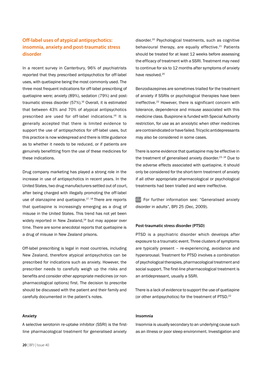## **Off-label uses of atypical antipsychotics: insomnia, anxiety and post-traumatic stress disorder**

In a recent survey in Canterbury, 96% of psychiatrists reported that they prescribed antipsychotics for off-label uses, with quetiapine being the most commonly used. The three most frequent indications for off-label prescribing of quetiapine were; anxiety (89%), sedation (79%) and posttraumatic stress disorder (57%).<sup>16</sup> Overall, it is estimated that between 43% and 70% of atypical antipsychotics prescribed are used for off-label indications.16 It is generally accepted that there is limited evidence to support the use of antipsychotics for off-label uses, but this practice is now widespread and there is little guidance as to whether it needs to be reduced, or if patients are genuinely benefitting from the use of these medicines for these indications.

Drug company marketing has played a strong role in the increase in use of antipsychotics in recent years. In the United States, two drug manufacturers settled out of court, after being charged with illegally promoting the off-label use of olanzapine and quetiapine.<sup>17, 18</sup> There are reports that quetiapine is increasingly emerging as a drug of misuse in the United States. This trend has not yet been widely reported in New Zealand,<sup>19</sup> but may appear over time. There are some anecdotal reports that quetiapine is a drug of misuse in New Zealand prisons.

Off-label prescribing is legal in most countries, including New Zealand, therefore atypical antipsychotics can be prescribed for indications such as anxiety. However, the prescriber needs to carefully weigh up the risks and benefits and consider other appropriate medicines (or nonpharmacological options) first. The decision to prescribe should be discussed with the patient and their family and carefully documented in the patient's notes.

#### **Anxiety**

A selective serotonin re-uptake inhibitor (SSRI) is the firstline pharmacological treatment for generalised anxiety

disorder.<sup>20</sup> Psychological treatments, such as cognitive behavioural therapy, are equally effective.<sup>21</sup> Patients should be treated for at least 12 weeks before assessing the efficacy of treatment with a SSRI. Treatment may need to continue for six to 12 months after symptoms of anxiety have resolved.<sup>20</sup>

Benzodiazepines are sometimes trialled for the treatment of anxiety if SSRIs or psychological therapies have been ineffective.22 However, there is significant concern with tolerance, dependence and misuse associated with this medicine class. Buspirone is funded with Special Authority restriction, for use as an anxiolytic when other medicines are contraindicated or have failed. Tricyclic antidepressants may also be considered in some cases.

There is some evidence that quetiapine may be effective in the treatment of generalised anxiety disorder.<sup>23, 24</sup> Due to the adverse effects associated with quetiapine, it should only be considered for the short-term treatment of anxiety if all other appropriate pharmacological or psychological treatments had been trialled and were ineffective.

 $\Theta$  For further information see: "Generalised anxiety disorder in adults", BPJ 25 (Dec, 2009).

#### **Post-traumatic stress disorder (PTSD)**

PTSD is a psychiatric disorder which develops after exposure to a traumatic event. Three clusters of symptoms are typically present – re-experiencing, avoidance and hyperarousal. Treatment for PTSD involves a combination of psychological therapies, pharmacological treatment and social support. The first-line pharmacological treatment is an antidepressant, usually a SSRI.

There is a lack of evidence to support the use of quetiapine (or other antipsychotics) for the treatment of PTSD.22

### **Insomnia**

Insomnia is usually secondary to an underlying cause such as an illness or poor sleep environment. Investigation and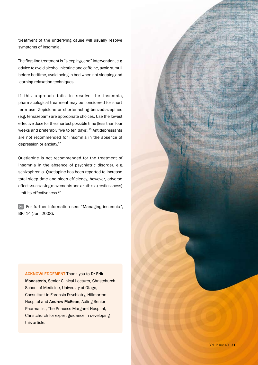treatment of the underlying cause will usually resolve symptoms of insomnia.

The first-line treatment is "sleep hygiene" intervention, e.g. advice to avoid alcohol, nicotine and caffeine, avoid stimuli before bedtime, avoid being in bed when not sleeping and learning relaxation techniques.

If this approach fails to resolve the insomnia, pharmacological treatment may be considered for shortterm use. Zopiclone or shorter-acting benzodiazepines (e.g. temazepam) are appropriate choices. Use the lowest effective dose for the shortest possible time (less than four weeks and preferably five to ten days).<sup>25</sup> Antidepressants are not recommended for insomnia in the absence of depression or anxiety.26

Quetiapine is not recommended for the treatment of insomnia in the absence of psychiatric disorder, e.g. schizophrenia. Quetiapine has been reported to increase total sleep time and sleep efficiency, however, adverse effects such as leg movements and akathisia (restlessness) limit its effectiveness.<sup>27</sup>

For further information see: "Managing insomnia", BPJ 14 (Jun, 2008).

## ACKNOWLEDGEMENT Thank you to Dr Erik

Monasterio, Senior Clinical Lecturer, Christchurch School of Medicine, University of Otago, Consultant in Forensic Psychiatry, Hillmorton Hospital and Andrew McKean, Acting Senior Pharmacist, The Princess Margaret Hospital, Christchurch for expert guidance in developing this article.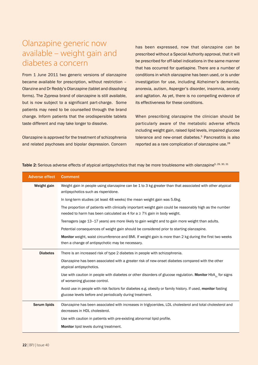## Olanzapine generic now available – weight gain and diabetes a concern

From 1 June 2011 two generic versions of olanzapine became available for prescription, without restriction – Olanzine and Dr Reddy's Olanzapine (tablet and dissolving forms). The Zyprexa brand of olanzapine is still available, but is now subject to a significant part-charge. Some patients may need to be counselled through the brand change. Inform patients that the orodispersible tablets taste different and may take longer to dissolve.

Olanzapine is approved for the treatment of schizophrenia and related psychoses and bipolar depression. Concern has been expressed, now that olanzapine can be prescribed without a Special Authority approval, that it will be prescribed for off-label indications in the same manner that has occurred for quetiapine. There are a number of conditions in which olanzapine has been used, or is under investigation for use, including Alzheimer's dementia, anorexia, autism, Asperger's disorder, insomnia, anxiety and agitation. As yet, there is no compelling evidence of its effectiveness for these conditions.

When prescribing olanzapine the clinician should be particularly aware of the metabolic adverse effects including weight gain, raised lipid levels, impaired glucose tolerance and new-onset diabetes.<sup>5</sup> Pancreatitis is also reported as a rare complication of olanzapine use.<sup>28</sup>

| <b>Adverse effect</b> | <b>Comment</b>                                                                                                                                                                          |  |  |
|-----------------------|-----------------------------------------------------------------------------------------------------------------------------------------------------------------------------------------|--|--|
| Weight gain           | Weight gain in people using olanzapine can be 1 to 3 kg greater than that associated with other atypical<br>antipsychotics such as risperidone.                                         |  |  |
|                       | In long-term studies (at least 48 weeks) the mean weight gain was 5.6kg.                                                                                                                |  |  |
|                       | The proportion of patients with clinically important weight gain could be reasonably high as the number<br>needed to harm has been calculated as 4 for $a \ge 7\%$ gain in body weight. |  |  |
|                       | Teenagers (age 13-17 years) are more likely to gain weight and to gain more weight than adults.                                                                                         |  |  |
|                       | Potential consequences of weight gain should be considered prior to starting olanzapine.                                                                                                |  |  |
|                       | Monitor weight, waist circumference and BMI. If weight gain is more than 2 kg during the first two weeks<br>then a change of antipsychotic may be necessary.                            |  |  |
| <b>Diabetes</b>       | There is an increased risk of type 2 diabetes in people with schizophrenia.                                                                                                             |  |  |
|                       | Olanzapine has been associated with a greater risk of new-onset diabetes compared with the other<br>atypical antipsychotics.                                                            |  |  |
|                       | Use with caution in people with diabetes or other disorders of glucose regulation. Monitor HbA, for signs<br>of worsening glucose control.                                              |  |  |
|                       | Avoid use in people with risk factors for diabetes e.g. obesity or family history. If used, monitor fasting<br>glucose levels before and periodically during treatment.                 |  |  |
| Serum lipids          | Olanzapine has been associated with increases in triglycerides, LDL cholesterol and total cholesterol and<br>decreases in HDL cholesterol.                                              |  |  |
|                       | Use with caution in patients with pre-existing abnormal lipid profile.                                                                                                                  |  |  |
|                       | Monitor lipid levels during treatment.                                                                                                                                                  |  |  |

Table 2: Serious adverse effects of atypical antipsychotics that may be more troublesome with olanzapine<sup>5, 29, 30, 31</sup>